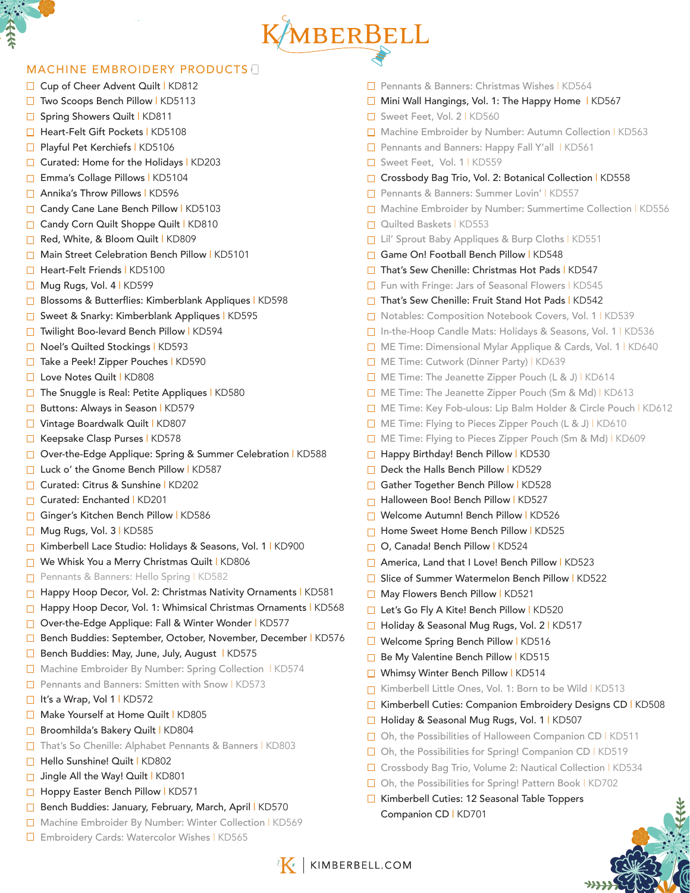# KMBERBELL

# MACHINE EMBROIDERY PRODUCTS

- □ Cup of Cheer Advent Quilt | KD812
- □ Two Scoops Bench Pillow | KD5113
- □ Spring Showers Quilt | KD811
- □ Heart-Felt Gift Pockets | KD5108
- □ Playful Pet Kerchiefs | KD5106
- □ Curated: Home for the Holidays | KD203
- Emma's Collage Pillows | KD5104
- □ Annika's Throw Pillows | KD596
- □ Candy Cane Lane Bench Pillow | KD5103
- Candy Corn Quilt Shoppe Quilt | KD810
- Red, White, & Bloom Quilt | KD809
- Main Street Celebration Bench Pillow | KD5101
- □ Heart-Felt Friends | KD5100
- □ Mug Rugs, Vol. 4 | KD599
- **□ Blossoms & Butterflies: Kimberblank Appliques | KD598**
- □ Sweet & Snarky: Kimberblank Appliques | KD595
- □ Twilight Boo-levard Bench Pillow | KD594
- □ Noel's Quilted Stockings | KD593
- □ Take a Peek! Zipper Pouches | KD590
- □ Love Notes Quilt | KD808
- □ The Snuggle is Real: Petite Appliques | KD580
- **■** Buttons: Always in Season | KD579
- □ Vintage Boardwalk Quilt | KD807
- Keepsake Clasp Purses | KD578
- □ Over-the-Edge Applique: Spring & Summer Celebration | KD588
- □ Luck o' the Gnome Bench Pillow | KD587
- □ Curated: Citrus & Sunshine | KD202
- □ Curated: Enchanted | KD201
- Ginger's Kitchen Bench Pillow | KD586
- Mug Rugs, Vol. 3 | KD585
- Kimberbell Lace Studio: Holidays & Seasons, Vol. 1 | KD900  $\Box$
- $\Box$ We Whisk You a Merry Christmas Quilt | KD806
- Pennants & Banners: Hello Spring | KD582  $\Box$
- Happy Hoop Decor, Vol. 2: Christmas Nativity Ornaments | KD581
- Happy Hoop Decor, Vol. 1: Whimsical Christmas Ornaments | KD568
- □ Over-the-Edge Applique: Fall & Winter Wonder | KD577
- Bench Buddies: September, October, November, December | KD576
- Bench Buddies: May, June, July, August | KD575
- □ Machine Embroider By Number: Spring Collection | KD574
- □ Pennants and Banners: Smitten with Snow | KD573
- □ It's a Wrap, Vol 1 | KD572
- Make Yourself at Home Quilt | KD805
- Broomhilda's Bakery Quilt | KD804
- □ That's So Chenille: Alphabet Pennants & Banners | KD803
- Hello Sunshine! Quilt | KD802
- Jingle All the Way! Quilt | KD801
- □ Hoppy Easter Bench Pillow | KD571
- Bench Buddies: January, February, March, April | KD570
- □ Machine Embroider By Number: Winter Collection | KD569
- □ Embroidery Cards: Watercolor Wishes | KD565
- □ Pennants & Banners: Christmas Wishes | KD564
- $\Box$  Mini Wall Hangings, Vol. 1: The Happy Home | KD567
- □ Sweet Feet, Vol. 2 | KD560
- □ Machine Embroider by Number: Autumn Collection | KD563
- **Pennants and Banners: Happy Fall Y'all | KD561**
- □ Sweet Feet, Vol. 1 | KD559
- □ Crossbody Bag Trio, Vol. 2: Botanical Collection | KD558
- □ Pennants & Banners: Summer Lovin' | KD557
- □ Machine Embroider by Number: Summertime Collection | KD556
- Quilted Baskets | KD553
- □ Lil' Sprout Baby Appliques & Burp Cloths | KD551
- Game On! Football Bench Pillow | KD548
- □ That's Sew Chenille: Christmas Hot Pads | KD547
- □ Fun with Fringe: Jars of Seasonal Flowers | KD545
- □ That's Sew Chenille: Fruit Stand Hot Pads | KD542
- □ Notables: Composition Notebook Covers, Vol. 1 | KD539
- □ In-the-Hoop Candle Mats: Holidays & Seasons, Vol. 1 | KD536
- □ ME Time: Dimensional Mylar Applique & Cards, Vol. 1 | KD640
- □ ME Time: Cutwork (Dinner Party) | KD639
- $\Box$  ME Time: The Jeanette Zipper Pouch (L & J) | KD614
- □ ME Time: The Jeanette Zipper Pouch (Sm & Md) | KD613
- ME Time: Key Fob-ulous: Lip Balm Holder & Circle Pouch | KD612
- □ ME Time: Flying to Pieces Zipper Pouch (L & J) | KD610
- □ ME Time: Flying to Pieces Zipper Pouch (Sm & Md) | KD609
- Happy Birthday! Bench Pillow | KD530
- Deck the Halls Bench Pillow | KD529
- Gather Together Bench Pillow | KD528
- Halloween Boo! Bench Pillow | KD527
- Welcome Autumn! Bench Pillow | KD526
- Home Sweet Home Bench Pillow | KD525
- □ O, Canada! Bench Pillow | KD524
- □ America, Land that I Love! Bench Pillow | KD523
- □ Slice of Summer Watermelon Bench Pillow | KD522
- May Flowers Bench Pillow | KD521
- □ Let's Go Fly A Kite! Bench Pillow | KD520
- □ Holiday & Seasonal Mug Rugs, Vol. 2 | KD517
- □ Welcome Spring Bench Pillow | KD516
- Be My Valentine Bench Pillow | KD515
- □ Whimsy Winter Bench Pillow | KD514
- Kimberbell Little Ones, Vol. 1: Born to be Wild | KD513
- □ Kimberbell Cuties: Companion Embroidery Designs CD | KD508
- □ Holiday & Seasonal Mug Rugs, Vol. 1 | KD507
- □ Oh, the Possibilities of Halloween Companion CD | KD511
- $\Box$  Oh, the Possibilities for Spring! Companion CD | KD519
- □ Crossbody Bag Trio, Volume 2: Nautical Collection | KD534
- □ Oh, the Possibilities for Spring! Pattern Book | KD702
- Kimberbell Cuties: 12 Seasonal Table Toppers Companion CD | KD701

**K** | KIMBERBELL.COM